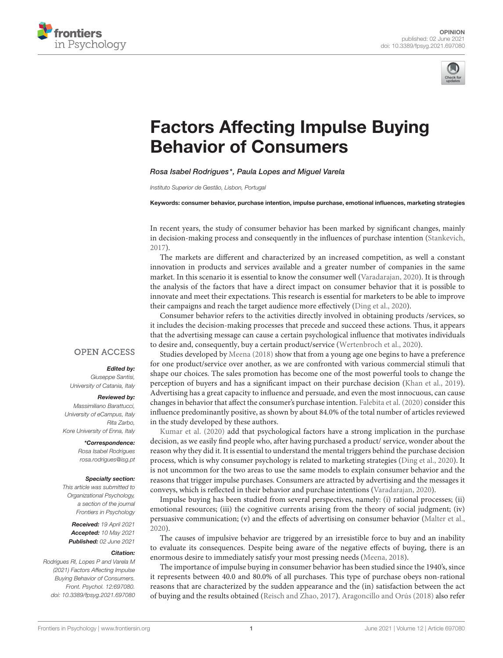



# [Factors Affecting Impulse Buying](https://www.frontiersin.org/articles/10.3389/fpsyg.2021.697080/full) Behavior of Consumers

Rosa Isabel Rodrigues\*, Paula Lopes and Miguel Varela

Instituto Superior de Gestão, Lisbon, Portugal

Keywords: consumer behavior, purchase intention, impulse purchase, emotional influences, marketing strategies

In recent years, the study of consumer behavior has been marked by significant changes, mainly in decision-making process and consequently in the influences of purchase intention [\(Stankevich,](#page-2-0) [2017\)](#page-2-0).

The markets are different and characterized by an increased competition, as well a constant innovation in products and services available and a greater number of companies in the same market. In this scenario it is essential to know the consumer well [\(Varadarajan, 2020\)](#page-2-1). It is through the analysis of the factors that have a direct impact on consumer behavior that it is possible to innovate and meet their expectations. This research is essential for marketers to be able to improve their campaigns and reach the target audience more effectively [\(Ding et al., 2020\)](#page-1-0).

Consumer behavior refers to the activities directly involved in obtaining products /services, so it includes the decision-making processes that precede and succeed these actions. Thus, it appears that the advertising message can cause a certain psychological influence that motivates individuals to desire and, consequently, buy a certain product/service [\(Wertenbroch et al., 2020\)](#page-2-2).

Studies developed by [Meena \(2018\)](#page-1-1) show that from a young age one begins to have a preference for one product/service over another, as we are confronted with various commercial stimuli that shape our choices. The sales promotion has become one of the most powerful tools to change the perception of buyers and has a significant impact on their purchase decision [\(Khan et al., 2019\)](#page-1-2). Advertising has a great capacity to influence and persuade, and even the most innocuous, can cause changes in behavior that affect the consumer's purchase intention. [Falebita et al. \(2020\)](#page-1-3) consider this influence predominantly positive, as shown by about 84.0% of the total number of articles reviewed in the study developed by these authors.

[Kumar et al. \(2020\)](#page-1-4) add that psychological factors have a strong implication in the purchase decision, as we easily find people who, after having purchased a product/ service, wonder about the reason why they did it. It is essential to understand the mental triggers behind the purchase decision process, which is why consumer psychology is related to marketing strategies [\(Ding et al., 2020\)](#page-1-0). It is not uncommon for the two areas to use the same models to explain consumer behavior and the reasons that trigger impulse purchases. Consumers are attracted by advertising and the messages it conveys, which is reflected in their behavior and purchase intentions [\(Varadarajan, 2020\)](#page-2-1).

Impulse buying has been studied from several perspectives, namely: (i) rational processes; (ii) emotional resources; (iii) the cognitive currents arising from the theory of social judgment; (iv) persuasive communication; (v) and the effects of advertising on consumer behavior [\(Malter et al.,](#page-1-5) [2020\)](#page-1-5).

The causes of impulsive behavior are triggered by an irresistible force to buy and an inability to evaluate its consequences. Despite being aware of the negative effects of buying, there is an enormous desire to immediately satisfy your most pressing needs [\(Meena, 2018\)](#page-1-1).

The importance of impulse buying in consumer behavior has been studied since the 1940's, since it represents between 40.0 and 80.0% of all purchases. This type of purchase obeys non-rational reasons that are characterized by the sudden appearance and the (in) satisfaction between the act of buying and the results obtained [\(Reisch and Zhao, 2017\)](#page-2-3). [Aragoncillo and Orús \(2018\)](#page-1-6) also refer

## **OPEN ACCESS**

### Edited by:

Giuseppe Santisi, University of Catania, Italy

### Reviewed by:

Massimiliano Barattucci, University of eCampus, Italy Rita Zarbo, Kore University of Enna, Italy

## \*Correspondence:

Rosa Isabel Rodrigues [rosa.rodrigues@isg.pt](mailto:rosa.rodrigues@isg.pt)

#### Specialty section:

This article was submitted to Organizational Psychology, a section of the journal Frontiers in Psychology

Received: 19 April 2021 Accepted: 10 May 2021 Published: 02 June 2021

#### Citation:

Rodrigues RI, Lopes P and Varela M (2021) Factors Affecting Impulse Buying Behavior of Consumers. Front. Psychol. 12:697080. doi: [10.3389/fpsyg.2021.697080](https://doi.org/10.3389/fpsyg.2021.697080)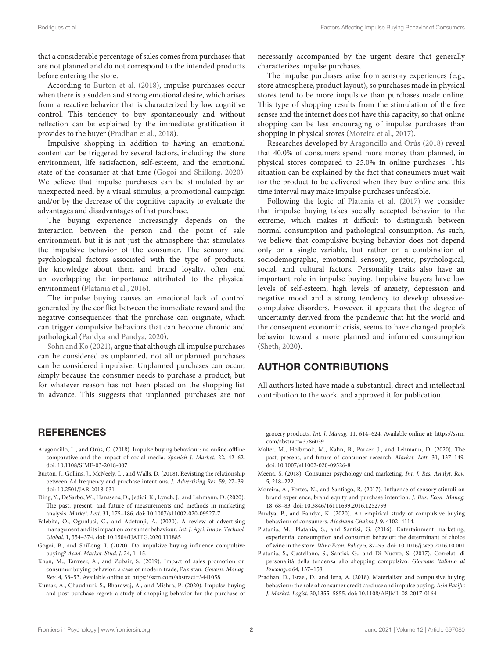that a considerable percentage of sales comes from purchases that are not planned and do not correspond to the intended products before entering the store.

According to [Burton et al. \(2018\)](#page-1-7), impulse purchases occur when there is a sudden and strong emotional desire, which arises from a reactive behavior that is characterized by low cognitive control. This tendency to buy spontaneously and without reflection can be explained by the immediate gratification it provides to the buyer [\(Pradhan et al., 2018\)](#page-1-8).

Impulsive shopping in addition to having an emotional content can be triggered by several factors, including: the store environment, life satisfaction, self-esteem, and the emotional state of the consumer at that time [\(Gogoi and Shillong, 2020\)](#page-1-9). We believe that impulse purchases can be stimulated by an unexpected need, by a visual stimulus, a promotional campaign and/or by the decrease of the cognitive capacity to evaluate the advantages and disadvantages of that purchase.

The buying experience increasingly depends on the interaction between the person and the point of sale environment, but it is not just the atmosphere that stimulates the impulsive behavior of the consumer. The sensory and psychological factors associated with the type of products, the knowledge about them and brand loyalty, often end up overlapping the importance attributed to the physical environment [\(Platania et al., 2016\)](#page-1-10).

The impulse buying causes an emotional lack of control generated by the conflict between the immediate reward and the negative consequences that the purchase can originate, which can trigger compulsive behaviors that can become chronic and pathological [\(Pandya and Pandya, 2020\)](#page-1-11).

[Sohn and Ko \(2021\)](#page-2-4), argue that although all impulse purchases can be considered as unplanned, not all unplanned purchases can be considered impulsive. Unplanned purchases can occur, simply because the consumer needs to purchase a product, but for whatever reason has not been placed on the shopping list in advance. This suggests that unplanned purchases are not necessarily accompanied by the urgent desire that generally characterizes impulse purchases.

The impulse purchases arise from sensory experiences (e.g., store atmosphere, product layout), so purchases made in physical stores tend to be more impulsive than purchases made online. This type of shopping results from the stimulation of the five senses and the internet does not have this capacity, so that online shopping can be less encouraging of impulse purchases than shopping in physical stores [\(Moreira et al., 2017\)](#page-1-12).

Researches developed by [Aragoncillo and Orús \(2018\)](#page-1-6) reveal that 40.0% of consumers spend more money than planned, in physical stores compared to 25.0% in online purchases. This situation can be explained by the fact that consumers must wait for the product to be delivered when they buy online and this time interval may make impulse purchases unfeasible.

Following the logic of [Platania et al. \(2017\)](#page-1-13) we consider that impulse buying takes socially accepted behavior to the extreme, which makes it difficult to distinguish between normal consumption and pathological consumption. As such, we believe that compulsive buying behavior does not depend only on a single variable, but rather on a combination of sociodemographic, emotional, sensory, genetic, psychological, social, and cultural factors. Personality traits also have an important role in impulse buying. Impulsive buyers have low levels of self-esteem, high levels of anxiety, depression and negative mood and a strong tendency to develop obsessivecompulsive disorders. However, it appears that the degree of uncertainty derived from the pandemic that hit the world and the consequent economic crisis, seems to have changed people's behavior toward a more planned and informed consumption [\(Sheth, 2020\)](#page-2-5).

# AUTHOR CONTRIBUTIONS

All authors listed have made a substantial, direct and intellectual contribution to the work, and approved it for publication.

# REFERENCES

- <span id="page-1-6"></span>Aragoncillo, L., and Orús, C. (2018). Impulse buying behaviour: na online-offline comparative and the impact of social media. Spanish J. Market. 22, 42–62. doi: [10.1108/SJME-03-2018-007](https://doi.org/10.1108/SJME-03-2018-007)
- <span id="page-1-7"></span>Burton, J., Gollins, J., McNeely, L., and Walls, D. (2018). Revisting the relationship between Ad frequency and purchase intentions. J. Advertising Res. 59, 27–39. doi: [10.2501/JAR-2018-031](https://doi.org/10.2501/JAR-2018-031)
- <span id="page-1-0"></span>Ding, Y., DeSarbo, W., Hanssens, D., Jedidi, K., Lynch, J., and Lehmann, D. (2020). The past, present, and future of measurements and methods in marketing analysis. Market. Lett. 31, 175–186. doi: [10.1007/s11002-020-09527-7](https://doi.org/10.1007/s11002-020-09527-7)
- <span id="page-1-3"></span>Falebita, O., Ogunlusi, C., and Adetunji, A. (2020). A review of advertising management and its impact on consumer behaviour. Int. J. Agri. Innov. Technol. Global. 1, 354–374. doi: [10.1504/IJAITG.2020.111885](https://doi.org/10.1504/IJAITG.2020.111885)
- <span id="page-1-9"></span>Gogoi, B., and Shillong, I. (2020). Do impulsive buying influence compulsive buying? Acad. Market. Stud. J. 24, 1–15.
- <span id="page-1-2"></span>Khan, M., Tanveer, A., and Zubair, S. (2019). Impact of sales promotion on consumer buying behavior: a case of modern trade, Pakistan. Govern. Manag. Rev. 4, 38–53. Available online at:<https://ssrn.com/abstract=3441058>
- <span id="page-1-4"></span>Kumar, A., Chaudhuri, S., Bhardwaj, A., and Mishra, P. (2020). Impulse buying and post-purchase regret: a study of shopping behavior for the purchase of

grocery products. Int. J. Manag. 11, 614–624. Available online at: [https://ssrn.](https://ssrn.com/abstract=3786039) [com/abstract=3786039](https://ssrn.com/abstract=3786039)

- <span id="page-1-5"></span>Malter, M., Holbrook, M., Kahn, B., Parker, J., and Lehmann, D. (2020). The past, present, and future of consumer research. Market. Lett. 31, 137–149. doi: [10.1007/s11002-020-09526-8](https://doi.org/10.1007/s11002-020-09526-8)
- <span id="page-1-1"></span>Meena, S. (2018). Consumer psychology and marketing. Int. J. Res. Analyt. Rev. 5, 218–222.
- <span id="page-1-12"></span>Moreira, A., Fortes, N., and Santiago, R. (2017). Influence of sensory stimuli on brand experience, brand equity and purchase intention. J. Bus. Econ. Manag. 18, 68–83. doi: [10.3846/16111699.2016.1252793](https://doi.org/10.3846/16111699.2016.1252793)
- <span id="page-1-11"></span>Pandya, P., and Pandya, K. (2020). An empirical study of compulsive buying behaviour of consumers. Alochana Chakra J. 9, 4102–4114.
- <span id="page-1-10"></span>Platania, M., Platania, S., and Santisi, G. (2016). Entertainment marketing, experiential consumption and consumer behavior: the determinant of choice of wine in the store. Wine Econ. Policy 5, 87–95. doi: [10.1016/j.wep.2016.10.001](https://doi.org/10.1016/j.wep.2016.10.001)
- <span id="page-1-13"></span>Platania, S., Castellano, S., Santisi, G., and Di Nuovo, S. (2017). Correlati di personalità della tendenza allo shopping compulsivo. Giornale Italiano di Psicologia 64, 137–158.
- <span id="page-1-8"></span>Pradhan, D., Israel, D., and Jena, A. (2018). Materialism and compulsive buying behaviour: the role of consumer credit card use and impulse buying. Asia Pacific J. Market. Logist. 30,1355–5855. doi: [10.1108/APJML-08-2017-0164](https://doi.org/10.1108/APJML-08-2017-0164)